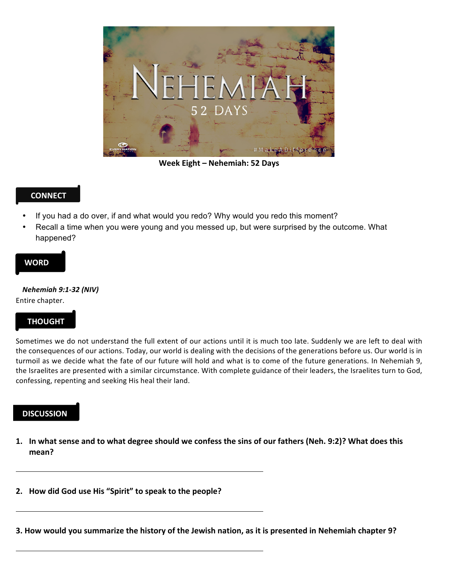

**Week Eight – Nehemiah: 52 Days**

### **CONNECT**

- If you had a do over, if and what would you redo? Why would you redo this moment?
- Recall a time when you were young and you messed up, but were surprised by the outcome. What happened?

#### **WORD**

# *Nehemiah 9:1-32 (NIV)*

#### Entire chapter.

### **THOUGHT**

Sometimes we do not understand the full extent of our actions until it is much too late. Suddenly we are left to deal with the consequences of our actions. Today, our world is dealing with the decisions of the generations before us. Our world is in turmoil as we decide what the fate of our future will hold and what is to come of the future generations. In Nehemiah 9, the Israelites are presented with a similar circumstance. With complete guidance of their leaders, the Israelites turn to God, confessing, repenting and seeking His heal their land.

## **DISCUSSION**

- 1. In what sense and to what degree should we confess the sins of our fathers (Neh. 9:2)? What does this **mean?**
- **2. How did God use His "Spirit" to speak to the people?**
- **3.** How would you summarize the history of the Jewish nation, as it is presented in Nehemiah chapter 9?